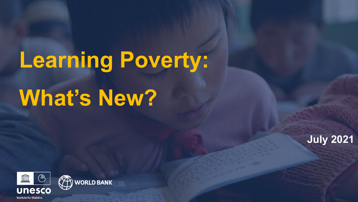# **Learning Poverty: What's New?**



**July 2021**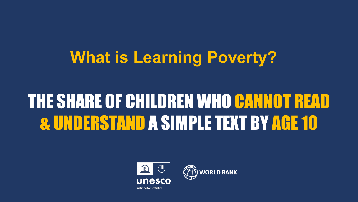### **What is Learning Poverty?**

### THE SHARE OF CHILDREN WHO CANNOT READ & UNDERSTAND A SIMPLE TEXT BY AGE 10



**WORLD BANK**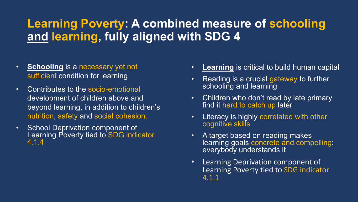#### **Learning Poverty: A combined measure of schooling and learning, fully aligned with SDG 4**

- **Schooling** is a necessary yet not sufficient condition for learning
- Contributes to the socio-emotional development of children above and beyond learning, in addition to children's nutrition, safety and social cohesion.
- School Deprivation component of Learning Poverty tied to SDG indicator 4.1.4
- **Learning** is critical to build human capital
- Reading is a crucial gateway to further schooling and learning
- Children who don't read by late primary find it hard to catch up later
- Literacy is highly correlated with other cognitive skills
- A target based on reading makes learning goals concrete and compelling: everybody understands it
- Learning Deprivation component of Learning Poverty tied to SDG indicator 4.1.1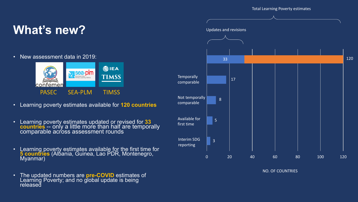#### **What's new?**

• New assessment data in 2019:



- Learning poverty estimates available for **120 countries**
- Learning poverty estimates updated or revised for **33 countries** -- only a little more than half are temporally comparable across assessment rounds
- Learning poverty estimates available for the first time for **5 countries** (Alḃania, Guinea, Lao PDR, Montenegro,<br>Myanmar)
- The updated numbers are **pre-COVID** estimates of Learning Poverty; and no global update is being released



NO. OF COUNTRIES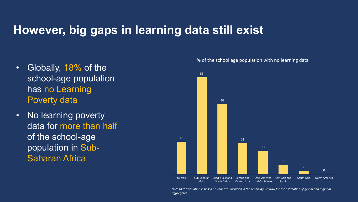#### **However, big gaps in learning data still exist**

- Globally, 18% of the school-age population has no Learning Poverty data
- No learning poverty data for more than half of the school-age population in Sub-Saharan Africa

![](_page_4_Figure_3.jpeg)

% of the school age population with no learning data

*Note that calculation is based on countries included in the reporting window for the estimation of global and regional aggregates.*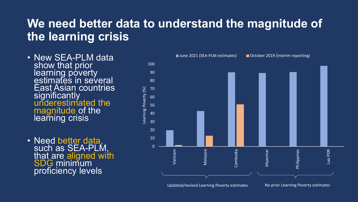#### **We need better data to understand the magnitude of the learning crisis**

- New SEA-PLM data show that prior learning poverty estimates in several East Asian countries significantly underestimated the magnitude of the learning crisis
- Need better data,<br>such as SEA-PLM,<br>that are aligned with<br>SDG minimum proficiency levels

![](_page_5_Figure_3.jpeg)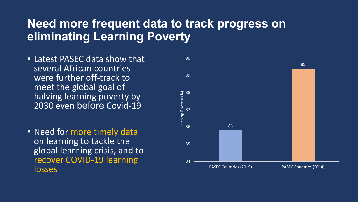#### **Need more frequent data to track progress on eliminating Learning Poverty**

- Latest PASEC data show that several African countries were further off-track to meet the global goal of halving learning poverty by 2030 even before Covid-19
- Need for more timely data on learning to tackle the global learning crisis, and to recover COVID-19 learning losses

![](_page_6_Figure_3.jpeg)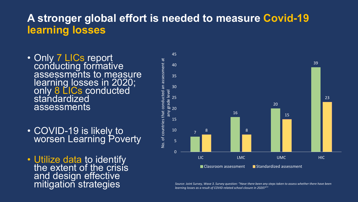#### **A stronger global effort is needed to measure Covid-19 learning losses**

- Only 7 LICs report<br>conducting formative assessments to measure learning losses in 2020; only 8 LICs conducted standardized assessments
- COVID-19 is likely to worsen Learning Poverty
- Utilize data to identify<br>the extent of the crisis and design effective

![](_page_7_Figure_4.jpeg)

mitigation strategimes and the strategies of the survey, Wave 3. Survey question: "Have there been any steps taken to assess whether there have been **Mitigation:** "Have there been any steps taken to assess whether there ha *learning losses as a result of COVID related school closure in 2020?""*